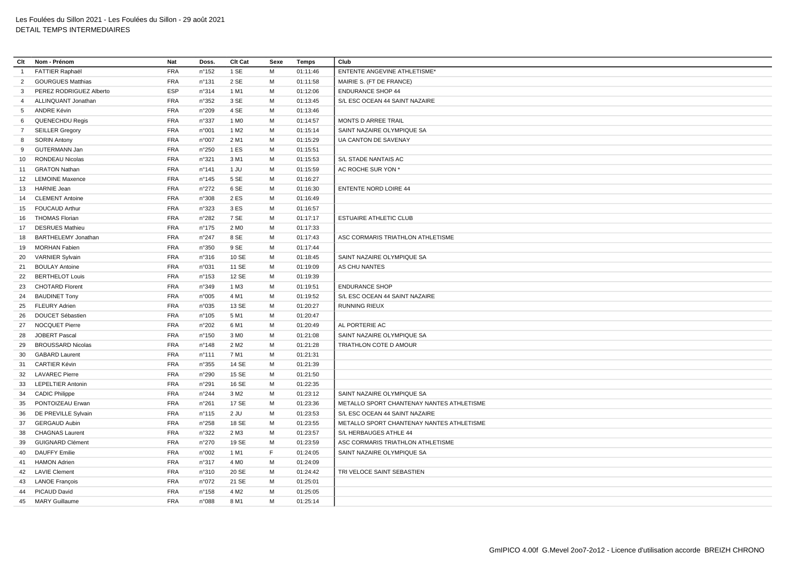| Clt            | Nom - Prénom               | Nat        | Doss.           | Clt Cat          | Sexe | Temps    | Club                                      |
|----------------|----------------------------|------------|-----------------|------------------|------|----------|-------------------------------------------|
| $\overline{1}$ | <b>FATTIER Raphaël</b>     | <b>FRA</b> | n°152           | 1 SE             | M    | 01:11:46 | <b>ENTENTE ANGEVINE ATHLETISME*</b>       |
| 2              | <b>GOURGUES Matthias</b>   | <b>FRA</b> | n°131           | 2 SE             | M    | 01:11:58 | MAIRIE S. (FT DE FRANCE)                  |
| 3              | PEREZ RODRIGUEZ Alberto    | ESP        | n°314           | 1 M1             | M    | 01:12:06 | <b>ENDURANCE SHOP 44</b>                  |
| $\overline{4}$ | ALLINQUANT Jonathan        | <b>FRA</b> | n°352           | 3 SE             | M    | 01:13:45 | S/L ESC OCEAN 44 SAINT NAZAIRE            |
| 5              | ANDRE Kévin                | <b>FRA</b> | n°209           | 4 SE             | M    | 01:13:46 |                                           |
| 6              | <b>QUENECHDU Regis</b>     | <b>FRA</b> | n°337           | 1 M <sub>0</sub> | M    | 01:14:57 | MONTS D ARREE TRAIL                       |
| $7^{\circ}$    | <b>SEILLER Gregory</b>     | <b>FRA</b> | n°001           | 1 M <sub>2</sub> | м    | 01:15:14 | SAINT NAZAIRE OLYMPIQUE SA                |
| 8              | <b>SORIN Antony</b>        | <b>FRA</b> | n°007           | 2 M1             | M    | 01:15:29 | UA CANTON DE SAVENAY                      |
| 9              | <b>GUTERMANN Jan</b>       | <b>FRA</b> | n°250           | 1 ES             | M    | 01:15:51 |                                           |
| 10             | <b>RONDEAU Nicolas</b>     | <b>FRA</b> | n°321           | 3 M1             | M    | 01:15:53 | S/L STADE NANTAIS AC                      |
| 11             | <b>GRATON Nathan</b>       | <b>FRA</b> | n°141           | 1 JU             | M    | 01:15:59 | AC ROCHE SUR YON *                        |
|                | 12 LEMOINE Maxence         | <b>FRA</b> | n°145           | 5 SE             | M    | 01:16:27 |                                           |
| 13             | <b>HARNIE Jean</b>         | <b>FRA</b> | n°272           | 6 SE             | M    | 01:16:30 | <b>ENTENTE NORD LOIRE 44</b>              |
| 14             | <b>CLEMENT Antoine</b>     | <b>FRA</b> | n°308           | 2ES              | M    | 01:16:49 |                                           |
| 15             | <b>FOUCAUD Arthur</b>      | <b>FRA</b> | n°323           | 3ES              | M    | 01:16:57 |                                           |
| 16             | <b>THOMAS Florian</b>      | <b>FRA</b> | n°282           | 7 SE             | м    | 01:17:17 | <b>ESTUAIRE ATHLETIC CLUB</b>             |
| 17             | <b>DESRUES Mathieu</b>     | FRA        | n°175           | 2 M <sub>0</sub> | M    | 01:17:33 |                                           |
| 18             | <b>BARTHELEMY Jonathan</b> | <b>FRA</b> | n°247           | 8 SE             | M    | 01:17:43 | ASC CORMARIS TRIATHLON ATHLETISME         |
| 19             | <b>MORHAN Fabien</b>       | <b>FRA</b> | n°350           | 9 SE             | M    | 01:17:44 |                                           |
| 20             | <b>VARNIER Sylvain</b>     | <b>FRA</b> | n°316           | 10 SE            | M    | 01:18:45 | SAINT NAZAIRE OLYMPIQUE SA                |
| 21             | <b>BOULAY Antoine</b>      | <b>FRA</b> | n°031           | 11 SE            | M    | 01:19:09 | AS CHU NANTES                             |
| 22             | <b>BERTHELOT Louis</b>     | <b>FRA</b> | n°153           | 12 SE            | M    | 01:19:39 |                                           |
| 23             | <b>CHOTARD Florent</b>     | <b>FRA</b> | n°349           | 1 M3             | M    | 01:19:51 | <b>ENDURANCE SHOP</b>                     |
| 24             | <b>BAUDINET Tony</b>       | <b>FRA</b> | n°005           | 4 M1             | M    | 01:19:52 | S/L ESC OCEAN 44 SAINT NAZAIRE            |
| 25             | <b>FLEURY Adrien</b>       | <b>FRA</b> | n°035           | 13 SE            | M    | 01:20:27 | <b>RUNNING RIEUX</b>                      |
| 26             | DOUCET Sébastien           | <b>FRA</b> | $n^{\circ}105$  | 5 M1             | M    | 01:20:47 |                                           |
| 27             | <b>NOCQUET Pierre</b>      | <b>FRA</b> | n°202           | 6 M1             | M    | 01:20:49 | AL PORTERIE AC                            |
| 28             | JOBERT Pascal              | <b>FRA</b> | n°150           | 3 MO             | M    | 01:21:08 | SAINT NAZAIRE OLYMPIQUE SA                |
| 29             | <b>BROUSSARD Nicolas</b>   | <b>FRA</b> | n°148           | 2 M <sub>2</sub> | M    | 01:21:28 | TRIATHLON COTE D AMOUR                    |
| 30             | <b>GABARD Laurent</b>      | <b>FRA</b> | $n^{\circ}111$  | 7 M1             | M    | 01:21:31 |                                           |
| 31             | <b>CARTIER Kévin</b>       | <b>FRA</b> | n°355           | 14 SE            | M    | 01:21:39 |                                           |
| 32             | <b>LAVAREC Pierre</b>      | <b>FRA</b> | n°290           | 15 SE            | M    | 01:21:50 |                                           |
| 33             | <b>LEPELTIER Antonin</b>   | <b>FRA</b> | n°291           | 16 SE            | M    | 01:22:35 |                                           |
|                | 34 CADIC Philippe          | <b>FRA</b> | n°244           | 3 M <sub>2</sub> | M    | 01:23:12 | SAINT NAZAIRE OLYMPIQUE SA                |
| 35             | PONTOIZEAU Erwan           | <b>FRA</b> | n°261           | 17 SE            | M    | 01:23:36 | METALLO SPORT CHANTENAY NANTES ATHLETISME |
| 36             | DE PREVILLE Sylvain        | <b>FRA</b> | $n^{\circ}$ 115 | 2 JU             | M    | 01:23:53 | S/L ESC OCEAN 44 SAINT NAZAIRE            |
| 37             | <b>GERGAUD Aubin</b>       | FRA        | n°258           | 18 SE            | M    | 01:23:55 | METALLO SPORT CHANTENAY NANTES ATHLETISME |
| 38             | <b>CHAGNAS Laurent</b>     | <b>FRA</b> | n°322           | 2 M3             | M    | 01:23:57 | S/L HERBAUGES ATHLE 44                    |
| 39             | <b>GUIGNARD Clément</b>    | <b>FRA</b> | n°270           | 19 SE            | M    | 01:23:59 | ASC CORMARIS TRIATHLON ATHLETISME         |
| 40             | <b>DAUFFY Emilie</b>       | <b>FRA</b> | n°002           | 1 M1             | F    | 01:24:05 | SAINT NAZAIRE OLYMPIQUE SA                |
| 41             | <b>HAMON Adrien</b>        | <b>FRA</b> | n°317           | 4 M <sub>0</sub> | M    | 01:24:09 |                                           |
| 42             | <b>LAVIE Clement</b>       | <b>FRA</b> | n°310           | 20 SE            | M    | 01:24:42 | TRI VELOCE SAINT SEBASTIEN                |
| 43             | <b>LANOE François</b>      | <b>FRA</b> | n°072           | 21 SE            | м    | 01:25:01 |                                           |
| 44             | PICAUD David               | <b>FRA</b> | n°158           | 4 M <sub>2</sub> | M    | 01:25:05 |                                           |
|                | 45 MARY Guillaume          | <b>FRA</b> | n°088           | 8 M1             | M    | 01:25:14 |                                           |
|                |                            |            |                 |                  |      |          |                                           |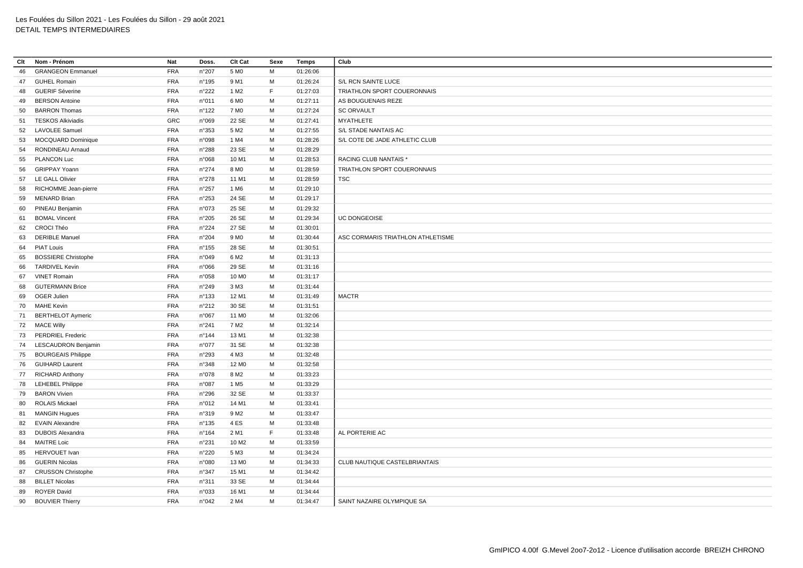| Clt | Nom - Prénom               | Nat        | Doss.           | Clt Cat           | Sexe | Temps    | Club                              |
|-----|----------------------------|------------|-----------------|-------------------|------|----------|-----------------------------------|
| 46  | <b>GRANGEON Emmanuel</b>   | <b>FRA</b> | n°207           | 5 M <sub>0</sub>  | M    | 01:26:06 |                                   |
| 47  | <b>GUHEL Romain</b>        | <b>FRA</b> | n°195           | 9 M1              | M    | 01:26:24 | S/L RCN SAINTE LUCE               |
| 48  | <b>GUERIF Séverine</b>     | <b>FRA</b> | n°222           | 1 M <sub>2</sub>  | F    | 01:27:03 | TRIATHLON SPORT COUERONNAIS       |
| 49  | <b>BERSON Antoine</b>      | <b>FRA</b> | n°011           | 6 M <sub>0</sub>  | M    | 01:27:11 | AS BOUGUENAIS REZE                |
| 50  | <b>BARRON Thomas</b>       | <b>FRA</b> | n°122           | 7 M <sub>0</sub>  | M    | 01:27:24 | <b>SC ORVAULT</b>                 |
| 51  | <b>TESKOS Alkiviadis</b>   | GRC        | n°069           | 22 SE             | M    | 01:27:41 | <b>MYATHLETE</b>                  |
| 52  | <b>LAVOLEE Samuel</b>      | <b>FRA</b> | n°353           | 5 M <sub>2</sub>  | M    | 01:27:55 | S/L STADE NANTAIS AC              |
| 53  | <b>MOCQUARD Dominique</b>  | <b>FRA</b> | n°098           | 1 M4              | м    | 01:28:26 | S/L COTE DE JADE ATHLETIC CLUB    |
| 54  | RONDINEAU Arnaud           | <b>FRA</b> | n°288           | 23 SE             | M    | 01:28:29 |                                   |
| 55  | <b>PLANCON Luc</b>         | <b>FRA</b> | n°068           | 10 M1             | м    | 01:28:53 | RACING CLUB NANTAIS *             |
| 56  | <b>GRIPPAY Yoann</b>       | <b>FRA</b> | $n^{\circ}274$  | 8 MO              | M    | 01:28:59 | TRIATHLON SPORT COUERONNAIS       |
|     | 57 LE GALL Olivier         | FRA        | n°278           | 11 M1             | M    | 01:28:59 | <b>TSC</b>                        |
| 58  | RICHOMME Jean-pierre       | <b>FRA</b> | n°257           | 1 M6              | м    | 01:29:10 |                                   |
| 59  | <b>MENARD Brian</b>        | <b>FRA</b> | n°253           | 24 SE             | M    | 01:29:17 |                                   |
| 60  | PINEAU Benjamin            | <b>FRA</b> | n°073           | 25 SE             | M    | 01:29:32 |                                   |
| 61  | <b>BOMAL Vincent</b>       | <b>FRA</b> | n°205           | 26 SE             | M    | 01:29:34 | <b>UC DONGEOISE</b>               |
| 62  | <b>CROCI Théo</b>          | FRA        | n°224           | 27 SE             | M    | 01:30:01 |                                   |
| 63  | <b>DERIBLE Manuel</b>      | <b>FRA</b> | n°204           | 9 M <sub>0</sub>  | M    | 01:30:44 | ASC CORMARIS TRIATHLON ATHLETISME |
| 64  | <b>PIAT Louis</b>          | FRA        | $n^{\circ}$ 155 | 28 SE             | M    | 01:30:51 |                                   |
| 65  | <b>BOSSIERE Christophe</b> | <b>FRA</b> | n°049           | 6 M <sub>2</sub>  | M    | 01:31:13 |                                   |
| 66  | <b>TARDIVEL Kevin</b>      | <b>FRA</b> | n°066           | 29 SE             | м    | 01:31:16 |                                   |
| 67  | <b>VINET Romain</b>        | <b>FRA</b> | n°058           | 10 M <sub>0</sub> | M    | 01:31:17 |                                   |
| 68  | <b>GUTERMANN Brice</b>     | <b>FRA</b> | n°249           | 3 M3              | м    | 01:31:44 |                                   |
| 69  | <b>OGER Julien</b>         | <b>FRA</b> | $n^{\circ}$ 133 | 12 M1             | M    | 01:31:49 | <b>MACTR</b>                      |
| 70  | <b>MAHE Kevin</b>          | <b>FRA</b> | n°212           | 30 SE             | м    | 01:31:51 |                                   |
| 71  | <b>BERTHELOT Aymeric</b>   | <b>FRA</b> | n°067           | 11 M <sub>0</sub> | M    | 01:32:06 |                                   |
| 72  | <b>MACE Willy</b>          | <b>FRA</b> | n°241           | 7 M <sub>2</sub>  | M    | 01:32:14 |                                   |
| 73  | <b>PERDRIEL Frederic</b>   | FRA        | n°144           | 13 M1             | M    | 01:32:38 |                                   |
| 74  | <b>LESCAUDRON Benjamin</b> | <b>FRA</b> | n°077           | 31 SE             | M    | 01:32:38 |                                   |
| 75  | <b>BOURGEAIS Philippe</b>  | <b>FRA</b> | n°293           | 4 M3              | M    | 01:32:48 |                                   |
| 76  | <b>GUIHARD Laurent</b>     | <b>FRA</b> | n°348           | 12 M <sub>0</sub> | м    | 01:32:58 |                                   |
| 77  | <b>RICHARD Anthony</b>     | <b>FRA</b> | n°078           | 8 M <sub>2</sub>  | M    | 01:33:23 |                                   |
| 78  | <b>LEHEBEL Philippe</b>    | <b>FRA</b> | n°087           | 1 M <sub>5</sub>  | M    | 01:33:29 |                                   |
| 79  | <b>BARON Vivien</b>        | <b>FRA</b> | n°296           | 32 SE             | м    | 01:33:37 |                                   |
| 80  | ROLAIS Mickael             | <b>FRA</b> | n°012           | 14 M1             | M    | 01:33:41 |                                   |
| 81  | <b>MANGIN Hugues</b>       | <b>FRA</b> | n°319           | 9 M <sub>2</sub>  | м    | 01:33:47 |                                   |
| 82  | <b>EVAIN Alexandre</b>     | <b>FRA</b> | $n^{\circ}$ 135 | 4ES               | M    | 01:33:48 |                                   |
| 83  | <b>DUBOIS Alexandra</b>    | <b>FRA</b> | $n^{\circ}164$  | 2 M1              | F    | 01:33:48 | AL PORTERIE AC                    |
| 84  | <b>MAITRE Loic</b>         | <b>FRA</b> | n°231           | 10 M <sub>2</sub> | M    | 01:33:59 |                                   |
| 85  | <b>HERVOUET</b> Ivan       | <b>FRA</b> | n°220           | 5 M3              | M    | 01:34:24 |                                   |
| 86  | <b>GUERIN Nicolas</b>      | <b>FRA</b> | n°080           | 13 M <sub>0</sub> | м    | 01:34:33 | CLUB NAUTIQUE CASTELBRIANTAIS     |
| 87  | <b>CRUSSON Christophe</b>  | <b>FRA</b> | n°347           | 15 M1             | M    | 01:34:42 |                                   |
| 88  | <b>BILLET Nicolas</b>      | FRA        | n°311           | 33 SE             | м    | 01:34:44 |                                   |
| 89  | <b>ROYER David</b>         | <b>FRA</b> | n°033           | 16 M1             | м    | 01:34:44 |                                   |
| 90  | <b>BOUVIER Thierry</b>     | <b>FRA</b> | n°042           | 2 M4              | M    | 01:34:47 | SAINT NAZAIRE OLYMPIQUE SA        |
|     |                            |            |                 |                   |      |          |                                   |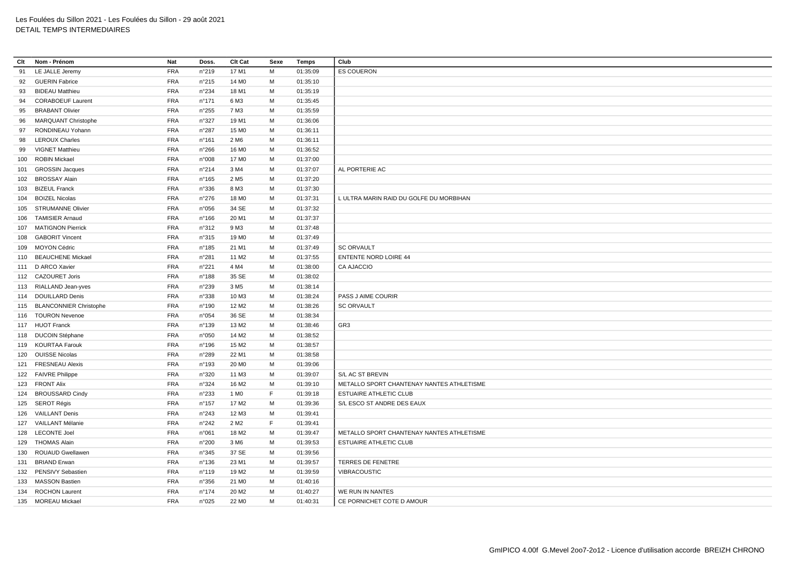| Clt | Nom - Prénom               | Nat        | Doss.           | Clt Cat           | Sexe        | Temps    | Club                                      |
|-----|----------------------------|------------|-----------------|-------------------|-------------|----------|-------------------------------------------|
| 91  | LE JALLE Jeremy            | <b>FRA</b> | n°219           | 17 M1             | M           | 01:35:09 | <b>ES COUERON</b>                         |
| 92  | <b>GUERIN Fabrice</b>      | <b>FRA</b> | n°215           | 14 M <sub>0</sub> | м           | 01:35:10 |                                           |
| 93  | <b>BIDEAU Matthieu</b>     | <b>FRA</b> | n°234           | 18 M1             | M           | 01:35:19 |                                           |
| 94  | <b>CORABOEUF Laurent</b>   | <b>FRA</b> | $n^{\circ}$ 171 | 6 M3              | M           | 01:35:45 |                                           |
| 95  | <b>BRABANT Olivier</b>     | <b>FRA</b> | n°255           | 7 M3              | м           | 01:35:59 |                                           |
| 96  | <b>MARQUANT Christophe</b> | <b>FRA</b> | n°327           | 19 M1             | M           | 01:36:06 |                                           |
| 97  | RONDINEAU Yohann           | <b>FRA</b> | n°287           | 15 M <sub>0</sub> | M           | 01:36:11 |                                           |
| 98  | <b>LEROUX Charles</b>      | <b>FRA</b> | $n^{\circ}161$  | 2 M <sub>6</sub>  | M           | 01:36:11 |                                           |
| 99  | <b>VIGNET Matthieu</b>     | <b>FRA</b> | n°266           | 16 M <sub>0</sub> | M           | 01:36:52 |                                           |
|     | 100 ROBIN Mickael          | <b>FRA</b> | n°008           | 17 M <sub>0</sub> | M           | 01:37:00 |                                           |
|     | 101 GROSSIN Jacques        | <b>FRA</b> | n°214           | 3 M4              | M           | 01:37:07 | AL PORTERIE AC                            |
|     | 102 BROSSAY Alain          | <b>FRA</b> | n°165           | 2 M <sub>5</sub>  | м           | 01:37:20 |                                           |
|     | 103 BIZEUL Franck          | <b>FRA</b> | n°336           | 8 M3              | M           | 01:37:30 |                                           |
|     | 104 BOIZEL Nicolas         | <b>FRA</b> | n°276           | 18 M <sub>0</sub> | М           | 01:37:31 | L ULTRA MARIN RAID DU GOLFE DU MORBIHAN   |
|     | 105 STRUMANNE Olivier      | <b>FRA</b> | n°056           | 34 SE             | M           | 01:37:32 |                                           |
| 106 | <b>TAMISIER Arnaud</b>     | <b>FRA</b> | n°166           | 20 M1             | M           | 01:37:37 |                                           |
|     | 107 MATIGNON Pierrick      | <b>FRA</b> | n°312           | 9 M3              | M           | 01:37:48 |                                           |
|     | 108 GABORIT Vincent        | <b>FRA</b> | n°315           | 19 M <sub>0</sub> | М           | 01:37:49 |                                           |
|     | 109 MOYON Cédric           | <b>FRA</b> | n°185           | 21 M1             | M           | 01:37:49 | <b>SC ORVAULT</b>                         |
|     | 110 BEAUCHENE Mickael      | <b>FRA</b> | $n^{\circ}281$  | 11 M <sub>2</sub> | M           | 01:37:55 | <b>ENTENTE NORD LOIRE 44</b>              |
|     | 111 D ARCO Xavier          | <b>FRA</b> | n°221           | 4 M4              | M           | 01:38:00 | <b>CA AJACCIO</b>                         |
|     | 112 CAZOURET Joris         | <b>FRA</b> | n°188           | 35 SE             | M           | 01:38:02 |                                           |
|     | 113 RIALLAND Jean-yves     | <b>FRA</b> | n°239           | 3 M <sub>5</sub>  | M           | 01:38:14 |                                           |
|     | 114 DOUILLARD Denis        | <b>FRA</b> | n°338           | 10 M3             | M           | 01:38:24 | PASS J AIME COURIR                        |
|     | 115 BLANCONNIER Christophe | <b>FRA</b> | n°190           | 12 M <sub>2</sub> | M           | 01:38:26 | <b>SC ORVAULT</b>                         |
|     | 116 TOURON Nevenoe         | <b>FRA</b> | n°054           | 36 SE             | M           | 01:38:34 |                                           |
|     | 117 HUOT Franck            | <b>FRA</b> | n°139           | 13 M2             | M           | 01:38:46 | GR3                                       |
|     | 118 DUCOIN Stéphane        | <b>FRA</b> | n°050           | 14 M <sub>2</sub> | M           | 01:38:52 |                                           |
|     | 119 KOURTAA Farouk         | <b>FRA</b> | n°196           | 15 M2             | M           | 01:38:57 |                                           |
|     | 120 OUISSE Nicolas         | <b>FRA</b> | n°289           | 22 M1             | M           | 01:38:58 |                                           |
|     | 121 FRESNEAU Alexis        | <b>FRA</b> | n°193           | 20 M <sub>0</sub> | M           | 01:39:06 |                                           |
|     | 122 FAIVRE Philippe        | <b>FRA</b> | n°320           | 11 M3             | M           | 01:39:07 | S/L AC ST BREVIN                          |
|     | 123 FRONT Alix             | <b>FRA</b> | n°324           | 16 M <sub>2</sub> | M           | 01:39:10 | METALLO SPORT CHANTENAY NANTES ATHLETISME |
|     | 124 BROUSSARD Cindy        | <b>FRA</b> | n°233           | 1 M <sub>0</sub>  | $\mathsf F$ | 01:39:18 | ESTUAIRE ATHLETIC CLUB                    |
|     | 125 SEROT Régis            | <b>FRA</b> | n°157           | 17 M <sub>2</sub> | M           | 01:39:36 | S/L ESCO ST ANDRE DES EAUX                |
|     | 126 VAILLANT Denis         | <b>FRA</b> | n°243           | 12 M3             | M           | 01:39:41 |                                           |
|     | 127 VAILLANT Mélanie       | <b>FRA</b> | n°242           | 2 M <sub>2</sub>  | F           | 01:39:41 |                                           |
|     | 128 LECONTE Joel           | <b>FRA</b> | n°061           | 18 M <sub>2</sub> | M           | 01:39:47 | METALLO SPORT CHANTENAY NANTES ATHLETISME |
|     | 129 THOMAS Alain           | <b>FRA</b> | n°200           | 3 M <sub>6</sub>  | M           | 01:39:53 | ESTUAIRE ATHLETIC CLUB                    |
|     | 130 ROUAUD Gwellawen       | <b>FRA</b> | n°345           | 37 SE             | M           | 01:39:56 |                                           |
|     | 131 BRIAND Erwan           | <b>FRA</b> | n°136           | 23 M1             | M           | 01:39:57 | <b>TERRES DE FENETRE</b>                  |
|     | 132 PENSIVY Sebastien      | <b>FRA</b> | $n^{\circ}$ 119 | 19 M2             | M           | 01:39:59 | VIBRACOUSTIC                              |
|     | 133 MASSON Bastien         | <b>FRA</b> | n°356           | 21 M <sub>0</sub> | M           | 01:40:16 |                                           |
|     | 134 ROCHON Laurent         | <b>FRA</b> | n°174           | 20 M <sub>2</sub> | M           | 01:40:27 | WE RUN IN NANTES                          |
|     | 135 MOREAU Mickael         | <b>FRA</b> | n°025           | 22 M <sub>0</sub> | M           | 01:40:31 | CE PORNICHET COTE D AMOUR                 |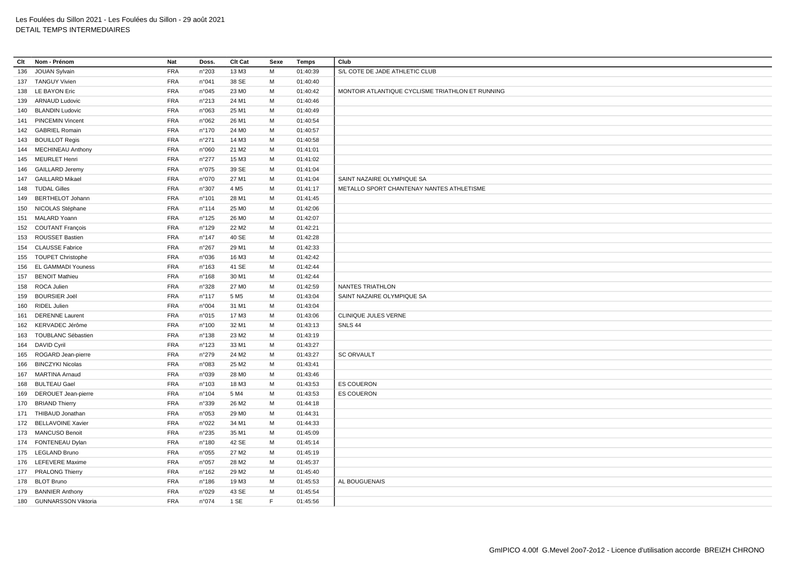| Clt | Nom - Prénom                                  | Nat        | Doss.           | Clt Cat                    | Sexe   | Temps    | Club                                             |
|-----|-----------------------------------------------|------------|-----------------|----------------------------|--------|----------|--------------------------------------------------|
| 136 | <b>JOUAN Sylvain</b>                          | <b>FRA</b> | n°203           | 13 M3                      | M      | 01:40:39 | S/L COTE DE JADE ATHLETIC CLUB                   |
|     | 137 TANGUY Vivien                             | <b>FRA</b> | n°041           | 38 SE                      | м      | 01:40:40 |                                                  |
|     | 138 LE BAYON Eric                             | <b>FRA</b> | n°045           | 23 MO                      | M      | 01:40:42 | MONTOIR ATLANTIQUE CYCLISME TRIATHLON ET RUNNING |
|     | 139 ARNAUD Ludovic                            | <b>FRA</b> | n°213           | 24 M1                      | м      | 01:40:46 |                                                  |
|     | 140 BLANDIN Ludovic                           | <b>FRA</b> | n°063           | 25 M1                      | м      | 01:40:49 |                                                  |
|     | 141 PINCEMIN Vincent                          | <b>FRA</b> | n°062           | 26 M1                      | м      | 01:40:54 |                                                  |
|     | 142 GABRIEL Romain                            | <b>FRA</b> | $n^{\circ}$ 170 | 24 M <sub>0</sub>          | м      | 01:40:57 |                                                  |
|     | 143 BOUILLOT Regis                            | <b>FRA</b> | n°271           | 14 M3                      | м      | 01:40:58 |                                                  |
|     | 144 MECHINEAU Anthony                         | <b>FRA</b> | n°060           | 21 M <sub>2</sub>          | м      | 01:41:01 |                                                  |
|     | 145 MEURLET Henri                             | <b>FRA</b> | $n^{\circ}277$  | 15 M3                      | м      | 01:41:02 |                                                  |
| 146 | <b>GAILLARD Jeremy</b>                        | <b>FRA</b> | n°075           | 39 SE                      | M      | 01:41:04 |                                                  |
|     | 147 GAILLARD Mikael                           | <b>FRA</b> | n°070           | 27 M1                      | M      | 01:41:04 | SAINT NAZAIRE OLYMPIQUE SA                       |
| 148 | <b>TUDAL Gilles</b>                           | <b>FRA</b> | n°307           | 4 M <sub>5</sub>           | м      | 01:41:17 | METALLO SPORT CHANTENAY NANTES ATHLETISME        |
|     | 149 BERTHELOT Johann                          | <b>FRA</b> | n°101           | 28 M1                      | M      | 01:41:45 |                                                  |
|     | 150 NICOLAS Stéphane                          | <b>FRA</b> | $n^{\circ}114$  | 25 M <sub>0</sub>          | м      | 01:42:06 |                                                  |
|     | 151 MALARD Yoann                              | <b>FRA</b> | $n^{\circ}$ 125 | 26 M <sub>0</sub>          | M      | 01:42:07 |                                                  |
|     | 152 COUTANT François                          | <b>FRA</b> | n°129           | 22 M <sub>2</sub>          | м      | 01:42:21 |                                                  |
|     | 153 ROUSSET Bastien                           | <b>FRA</b> | $n^{\circ}$ 147 | 40 SE                      | м      | 01:42:28 |                                                  |
|     | 154 CLAUSSE Fabrice                           | <b>FRA</b> | n°267           | 29 M1                      | м      | 01:42:33 |                                                  |
| 155 | <b>TOUPET Christophe</b>                      | <b>FRA</b> | n°036           | 16 M3                      | м      | 01:42:42 |                                                  |
|     | 156 EL GAMMADI Youness                        | <b>FRA</b> | n°163           | 41 SE                      | M      | 01:42:44 |                                                  |
| 157 | <b>BENOIT Mathieu</b>                         | <b>FRA</b> | $n^{\circ}168$  | 30 M1                      | M      | 01:42:44 |                                                  |
|     | 158 ROCA Julien                               | <b>FRA</b> | n°328           | 27 M <sub>0</sub>          | м      | 01:42:59 | NANTES TRIATHLON                                 |
| 159 | <b>BOURSIER Joël</b>                          | <b>FRA</b> | n°117           | 5 M <sub>5</sub>           | м      | 01:43:04 | SAINT NAZAIRE OLYMPIQUE SA                       |
|     | 160 RIDEL Julien                              | <b>FRA</b> | n°004           | 31 M1                      | м      | 01:43:04 |                                                  |
|     | 161 DERENNE Laurent                           | <b>FRA</b> | n°015           | 17 M3                      | м      | 01:43:06 | CLINIQUE JULES VERNE                             |
|     | 162 KERVADEC Jérôme                           | <b>FRA</b> | n°100           | 32 M1                      | M      | 01:43:13 | SNLS <sub>44</sub>                               |
| 163 | TOUBLANC Sébastien                            | <b>FRA</b> | $n^{\circ}$ 138 | 23 M2                      | м      | 01:43:19 |                                                  |
|     | 164 DAVID Cyril                               | <b>FRA</b> | $n^{\circ}$ 123 | 33 M1                      | M      | 01:43:27 |                                                  |
|     | 165 ROGARD Jean-pierre                        | <b>FRA</b> | n°279           | 24 M <sub>2</sub>          | M      | 01:43:27 | <b>SC ORVAULT</b>                                |
| 166 | <b>BINCZYKI Nicolas</b>                       | <b>FRA</b> | n°083           | 25 M2                      | м      | 01:43:41 |                                                  |
|     | 167 MARTINA Arnaud                            | <b>FRA</b> | n°039           | 28 M <sub>0</sub>          | м      | 01:43:46 |                                                  |
| 168 | <b>BULTEAU Gael</b>                           | <b>FRA</b> | $n^{\circ}103$  | 18 M3                      | м      | 01:43:53 | <b>ES COUERON</b>                                |
|     | 169 DEROUET Jean-pierre                       | <b>FRA</b> | n°104           | 5 M4                       | M      | 01:43:53 | <b>ES COUERON</b>                                |
|     | 170 BRIAND Thierry                            | <b>FRA</b> | n°339           | 26 M <sub>2</sub>          | м      | 01:44:18 |                                                  |
|     |                                               |            |                 |                            |        |          |                                                  |
|     | 171 THIBAUD Jonathan<br>172 BELLAVOINE Xavier | <b>FRA</b> | n°053<br>n°022  | 29 M <sub>0</sub><br>34 M1 | м<br>M | 01:44:31 |                                                  |
|     |                                               | <b>FRA</b> |                 |                            |        | 01:44:33 |                                                  |
|     | 173 MANCUSO Benoit                            | <b>FRA</b> | $n^{\circ}235$  | 35 M1                      | м      | 01:45:09 |                                                  |
|     | 174 FONTENEAU Dylan                           | <b>FRA</b> | n°180           | 42 SE                      | м      | 01:45:14 |                                                  |
|     | 175 LEGLAND Bruno                             | <b>FRA</b> | n°055           | 27 M <sub>2</sub>          | M      | 01:45:19 |                                                  |
|     | 176 LEFEVERE Maxime                           | <b>FRA</b> | n°057           | 28 M <sub>2</sub>          | м      | 01:45:37 |                                                  |
|     | 177 PRALONG Thierry                           | <b>FRA</b> | $n^{\circ}$ 162 | 29 M <sub>2</sub>          | M      | 01:45:40 |                                                  |
|     | 178 BLOT Bruno                                | <b>FRA</b> | n°186           | 19 M3                      | M      | 01:45:53 | AL BOUGUENAIS                                    |
|     | 179 BANNIER Anthony                           | <b>FRA</b> | n°029           | 43 SE                      | м      | 01:45:54 |                                                  |
|     | 180 GUNNARSSON Viktoria                       | <b>FRA</b> | n°074           | 1 SE                       | F      | 01:45:56 |                                                  |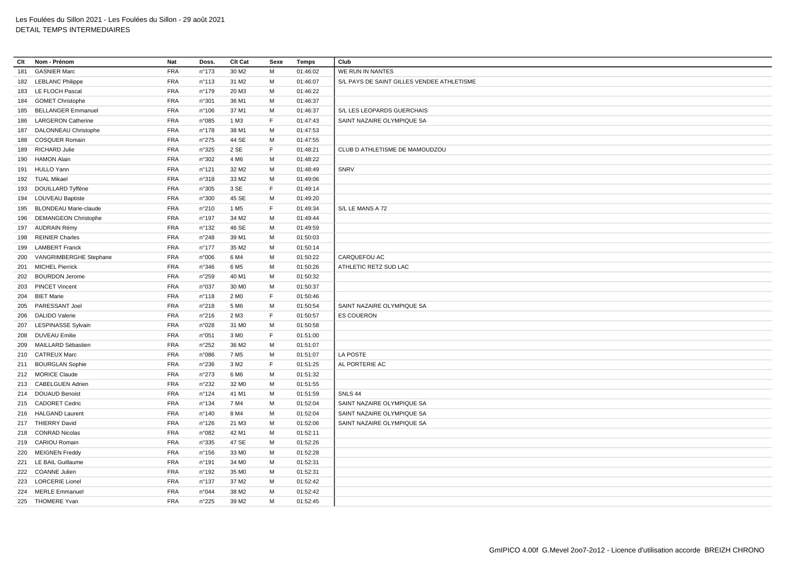| Clt | Nom - Prénom                 | Nat        | Doss.           | Clt Cat           | Sexe | Temps    | Club                                       |
|-----|------------------------------|------------|-----------------|-------------------|------|----------|--------------------------------------------|
| 181 | <b>GASNIER Marc</b>          | <b>FRA</b> | n°173           | 30 M <sub>2</sub> | M    | 01:46:02 | WE RUN IN NANTES                           |
|     | 182 LEBLANC Philippe         | <b>FRA</b> | n°113           | 31 M2             | М    | 01:46:07 | S/L PAYS DE SAINT GILLES VENDEE ATHLETISME |
|     | 183 LE FLOCH Pascal          | <b>FRA</b> | n°179           | 20 M3             | M    | 01:46:22 |                                            |
|     | 184 GOMET Christophe         | <b>FRA</b> | n°301           | 36 M1             | M    | 01:46:37 |                                            |
| 185 | <b>BELLANGER Emmanuel</b>    | <b>FRA</b> | n°106           | 37 M1             | M    | 01:46:37 | S/L LES LEOPARDS GUERCHAIS                 |
| 186 | <b>LARGERON Catherine</b>    | <b>FRA</b> | n°085           | 1 M3              | F    | 01:47:43 | SAINT NAZAIRE OLYMPIQUE SA                 |
| 187 | DALONNEAU Christophe         | <b>FRA</b> | n°178           | 38 M1             | м    | 01:47:53 |                                            |
| 188 | <b>COSQUER Romain</b>        | <b>FRA</b> | n°275           | 44 SE             | M    | 01:47:55 |                                            |
| 189 | <b>RICHARD Julie</b>         | <b>FRA</b> | n°325           | 2 SE              | F    | 01:48:21 | CLUB D ATHLETISME DE MAMOUDZOU             |
| 190 | <b>HAMON Alain</b>           | <b>FRA</b> | n°302           | 4 M <sub>6</sub>  | M    | 01:48:22 |                                            |
|     | 191 HULLO Yann               | <b>FRA</b> | n°121           | 32 M <sub>2</sub> | M    | 01:48:49 | SNRV                                       |
|     | 192 TUAL Mikael              | <b>FRA</b> | n°318           | 33 M2             | M    | 01:49:06 |                                            |
| 193 | DOUILLARD Tyffène            | <b>FRA</b> | n°305           | 3 SE              | F.   | 01:49:14 |                                            |
|     | 194 LOUVEAU Baptiste         | <b>FRA</b> | n°300           | 45 SE             | M    | 01:49:20 |                                            |
| 195 | <b>BLONDEAU Marie-claude</b> | <b>FRA</b> | n°210           | 1 M <sub>5</sub>  | F    | 01:49:34 | S/L LE MANS A 72                           |
| 196 | <b>DEMANGEON Christophe</b>  | <b>FRA</b> | n°197           | 34 M2             | M    | 01:49:44 |                                            |
|     | 197 AUDRAIN Rémy             | <b>FRA</b> | n°132           | 46 SE             | M    | 01:49:59 |                                            |
| 198 | <b>REINIER Charles</b>       | <b>FRA</b> | n°248           | 39 M1             | M    | 01:50:03 |                                            |
| 199 | <b>LAMBERT Franck</b>        | <b>FRA</b> | $n^{\circ}$ 177 | 35 M2             | M    | 01:50:14 |                                            |
| 200 | VANGRIMBERGHE Stephane       | <b>FRA</b> | n°006           | 6 M4              | м    | 01:50:22 | CARQUEFOU AC                               |
| 201 | <b>MICHEL Pierrick</b>       | <b>FRA</b> | n°346           | 6 M <sub>5</sub>  | M    | 01:50:26 | ATHLETIC RETZ SUD LAC                      |
| 202 | <b>BOURDON Jerome</b>        | <b>FRA</b> | n°259           | 40 M1             | M    | 01:50:32 |                                            |
| 203 | <b>PINCET Vincent</b>        | <b>FRA</b> | n°037           | 30 MO             | M    | 01:50:37 |                                            |
| 204 | <b>BIET Marie</b>            | <b>FRA</b> | n°118           | 2 M <sub>0</sub>  | F    | 01:50:46 |                                            |
| 205 | PARESSANT Joel               | <b>FRA</b> | n°218           | 5 M <sub>6</sub>  | M    | 01:50:54 | SAINT NAZAIRE OLYMPIQUE SA                 |
| 206 | <b>DALIDO Valerie</b>        | <b>FRA</b> | n°216           | 2 M3              | F    | 01:50:57 | <b>ES COUERON</b>                          |
| 207 | <b>LESPINASSE Sylvain</b>    | <b>FRA</b> | n°028           | 31 M <sub>0</sub> | М    | 01:50:58 |                                            |
| 208 | <b>DUVEAU Emilie</b>         | <b>FRA</b> | n°051           | 3 M <sub>0</sub>  | F    | 01:51:00 |                                            |
| 209 | MAILLARD Sébastien           | <b>FRA</b> | n°252           | 36 M <sub>2</sub> | M    | 01:51:07 |                                            |
|     | 210 CATREUX Marc             | <b>FRA</b> | n°086           | 7 M <sub>5</sub>  | M    | 01:51:07 | LA POSTE                                   |
|     | 211 BOURGLAN Sophie          | <b>FRA</b> | n°236           | 3 M <sub>2</sub>  | F    | 01:51:25 | AL PORTERIE AC                             |
| 212 | <b>MORICE Claude</b>         | <b>FRA</b> | n°273           | 6 M <sub>6</sub>  | М    | 01:51:32 |                                            |
|     | 213 CABELGUEN Adrien         | <b>FRA</b> | n°232           | 32 M <sub>0</sub> | M    | 01:51:55 |                                            |
|     | 214 DOUAUD Benoist           | <b>FRA</b> | n°124           | 41 M1             | М    | 01:51:59 | SNLS 44                                    |
|     | 215 CADORET Cedric           | <b>FRA</b> | n°134           | 7 M4              | M    | 01:52:04 | SAINT NAZAIRE OLYMPIQUE SA                 |
|     | 216 HALGAND Laurent          | <b>FRA</b> | n°140           | 8 M4              | M    | 01:52:04 | SAINT NAZAIRE OLYMPIQUE SA                 |
|     | 217 THIERRY David            | <b>FRA</b> | $n^{\circ}$ 126 | 21 M3             | М    | 01:52:06 | SAINT NAZAIRE OLYMPIQUE SA                 |
|     |                              |            |                 |                   |      |          |                                            |
|     | 218 CONRAD Nicolas           | <b>FRA</b> | n°082           | 42 M1             | M    | 01:52:11 |                                            |
|     | 219 CARIOU Romain            | <b>FRA</b> | n°335           | 47 SE             | М    | 01:52:26 |                                            |
| 220 | <b>MEIGNEN Freddy</b>        | <b>FRA</b> | $n^{\circ}$ 156 | 33 MO             | M    | 01:52:28 |                                            |
|     | 221 LE BAIL Guillaume        | <b>FRA</b> | $n^{\circ}$ 191 | 34 M <sub>0</sub> | М    | 01:52:31 |                                            |
|     | 222 COANNE Julien            | <b>FRA</b> | n°192           | 35 M <sub>0</sub> | M    | 01:52:31 |                                            |
| 223 | <b>LORCERIE Lionel</b>       | <b>FRA</b> | $n^{\circ}$ 137 | 37 M2             | M    | 01:52:42 |                                            |
|     | 224 MERLE Emmanuel           | <b>FRA</b> | n°044           | 38 M2             | M    | 01:52:42 |                                            |
|     | 225 THOMERE Yvan             | <b>FRA</b> | n°225           | 39 M <sub>2</sub> | M    | 01:52:45 |                                            |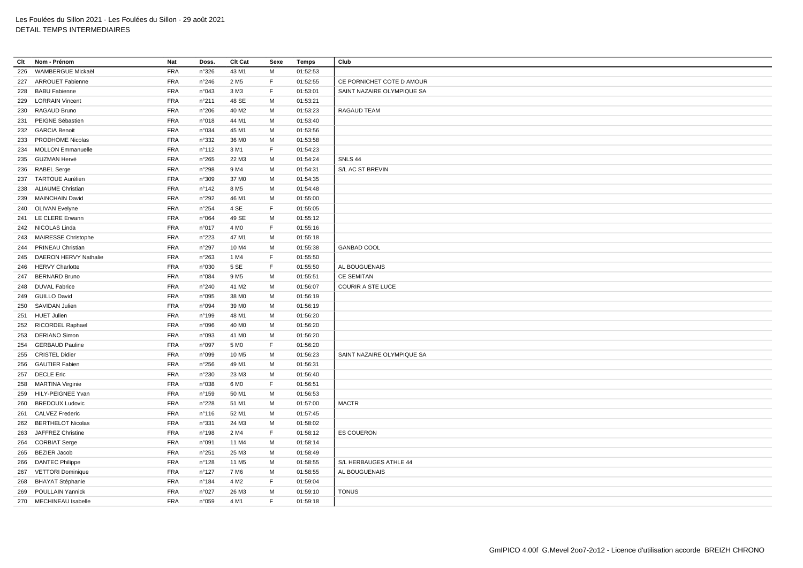| Clt | Nom - Prénom              | Nat        | Doss.          | Clt Cat           | Sexe | Temps    | Club                       |
|-----|---------------------------|------------|----------------|-------------------|------|----------|----------------------------|
| 226 | WAMBERGUE Mickaël         | <b>FRA</b> | n°326          | 43 M1             | M    | 01:52:53 |                            |
|     | 227 ARROUET Fabienne      | <b>FRA</b> | n°246          | 2 M <sub>5</sub>  | F    | 01:52:55 | CE PORNICHET COTE D AMOUR  |
| 228 | <b>BABU Fabienne</b>      | <b>FRA</b> | n°043          | 3 M3              | F    | 01:53:01 | SAINT NAZAIRE OLYMPIQUE SA |
| 229 | <b>LORRAIN Vincent</b>    | <b>FRA</b> | n°211          | 48 SE             | M    | 01:53:21 |                            |
| 230 | RAGAUD Bruno              | <b>FRA</b> | n°206          | 40 M <sub>2</sub> | M    | 01:53:23 | RAGAUD TEAM                |
| 231 | PEIGNE Sébastien          | <b>FRA</b> | n°018          | 44 M1             | M    | 01:53:40 |                            |
|     | 232 GARCIA Benoit         | <b>FRA</b> | n°034          | 45 M1             | M    | 01:53:56 |                            |
| 233 | PRODHOME Nicolas          | <b>FRA</b> | n°332          | 36 MO             | M    | 01:53:58 |                            |
| 234 | <b>MOLLON Emmanuelle</b>  | <b>FRA</b> | n°112          | 3 M1              | F    | 01:54:23 |                            |
| 235 | GUZMAN Hervé              | <b>FRA</b> | n°265          | 22 M3             | М    | 01:54:24 | <b>SNLS 44</b>             |
|     | 236 RABEL Serge           | <b>FRA</b> | n°298          | 9 M4              | М    | 01:54:31 | S/L AC ST BREVIN           |
|     | 237 TARTOUE Aurélien      | <b>FRA</b> | n°309          | 37 M <sub>0</sub> | М    | 01:54:35 |                            |
| 238 | <b>ALIAUME Christian</b>  | <b>FRA</b> | n°142          | 8 M <sub>5</sub>  | М    | 01:54:48 |                            |
| 239 | <b>MAINCHAIN David</b>    | <b>FRA</b> | n°292          | 46 M1             | М    | 01:55:00 |                            |
|     | 240 OLIVAN Evelyne        | <b>FRA</b> | n°254          | 4 SE              | F    | 01:55:05 |                            |
|     | 241 LE CLERE Erwann       | <b>FRA</b> | n°064          | 49 SE             | M    | 01:55:12 |                            |
|     | 242 NICOLAS Linda         | <b>FRA</b> | n°017          | 4 M <sub>0</sub>  | F    | 01:55:16 |                            |
|     | 243 MAIRESSE Christophe   | <b>FRA</b> | n°223          | 47 M1             | M    | 01:55:18 |                            |
| 244 | PRINEAU Christian         | <b>FRA</b> | n°297          | 10 M4             | M    | 01:55:38 | <b>GANBAD COOL</b>         |
|     | 245 DAERON HERVY Nathalie | <b>FRA</b> | n°263          | 1 M4              | F    | 01:55:50 |                            |
| 246 | <b>HERVY Charlotte</b>    | <b>FRA</b> | n°030          | 5 SE              | F    | 01:55:50 | AL BOUGUENAIS              |
| 247 | <b>BERNARD Bruno</b>      | <b>FRA</b> | n°084          | 9 M <sub>5</sub>  | M    | 01:55:51 | <b>CE SEMITAN</b>          |
|     | 248 DUVAL Fabrice         | <b>FRA</b> | n°240          | 41 M2             | M    | 01:56:07 | <b>COURIR A STE LUCE</b>   |
| 249 | <b>GUILLO David</b>       | <b>FRA</b> | n°095          | 38 M <sub>0</sub> | M    | 01:56:19 |                            |
| 250 | SAVIDAN Julien            | <b>FRA</b> | n°094          | 39 MO             | M    | 01:56:19 |                            |
| 251 | <b>HUET Julien</b>        | <b>FRA</b> | n°199          | 48 M1             | М    | 01:56:20 |                            |
|     | 252 RICORDEL Raphael      | <b>FRA</b> | n°096          | 40 M <sub>0</sub> | M    | 01:56:20 |                            |
| 253 | <b>DERIANO Simon</b>      | <b>FRA</b> | n°093          | 41 M <sub>0</sub> | М    | 01:56:20 |                            |
| 254 | <b>GERBAUD Pauline</b>    | <b>FRA</b> | n°097          | 5 M <sub>0</sub>  | E    | 01:56:20 |                            |
| 255 | <b>CRISTEL Didier</b>     | <b>FRA</b> | n°099          | 10 M <sub>5</sub> | M    | 01:56:23 | SAINT NAZAIRE OLYMPIQUE SA |
| 256 | <b>GAUTIER Fabien</b>     | <b>FRA</b> | n°256          | 49 M1             | М    | 01:56:31 |                            |
| 257 | <b>DECLE Eric</b>         | <b>FRA</b> | n°230          | 23 M3             | M    | 01:56:40 |                            |
|     | 258 MARTINA Virginie      | <b>FRA</b> | n°038          | 6 M <sub>0</sub>  | F.   | 01:56:51 |                            |
| 259 | HILY-PEIGNEE Yvan         | <b>FRA</b> | n°159          | 50 M1             | M    | 01:56:53 |                            |
| 260 | <b>BREDOUX Ludovic</b>    | <b>FRA</b> | n°228          | 51 M1             | M    | 01:57:00 | <b>MACTR</b>               |
|     | 261 CALVEZ Frederic       | <b>FRA</b> | $n^{\circ}116$ | 52 M1             | M    | 01:57:45 |                            |
| 262 | <b>BERTHELOT Nicolas</b>  | <b>FRA</b> | n°331          | 24 M3             | M    | 01:58:02 |                            |
|     | 263 JAFFREZ Christine     | <b>FRA</b> | n°198          | 2 M4              | F    | 01:58:12 | <b>ES COUERON</b>          |
|     | 264 CORBIAT Serge         | <b>FRA</b> | n°091          | 11 M4             | M    | 01:58:14 |                            |
| 265 | <b>BEZIER Jacob</b>       | FRA        | n°251          | 25 M3             | M    | 01:58:49 |                            |
| 266 | <b>DANTEC Philippe</b>    | <b>FRA</b> | n°128          | 11 M <sub>5</sub> | M    | 01:58:55 | S/L HERBAUGES ATHLE 44     |
| 267 | <b>VETTORI Dominique</b>  | <b>FRA</b> | n°127          | 7 M <sub>6</sub>  | М    | 01:58:55 | AL BOUGUENAIS              |
| 268 | <b>BHAYAT Stéphanie</b>   | <b>FRA</b> | n°184          | 4 M <sub>2</sub>  | F    | 01:59:04 |                            |
| 269 | <b>POULLAIN Yannick</b>   | <b>FRA</b> | n°027          | 26 M3             | M    | 01:59:10 | <b>TONUS</b>               |
|     | 270 MECHINEAU Isabelle    | <b>FRA</b> | n°059          | 4 M1              | F    | 01:59:18 |                            |
|     |                           |            |                |                   |      |          |                            |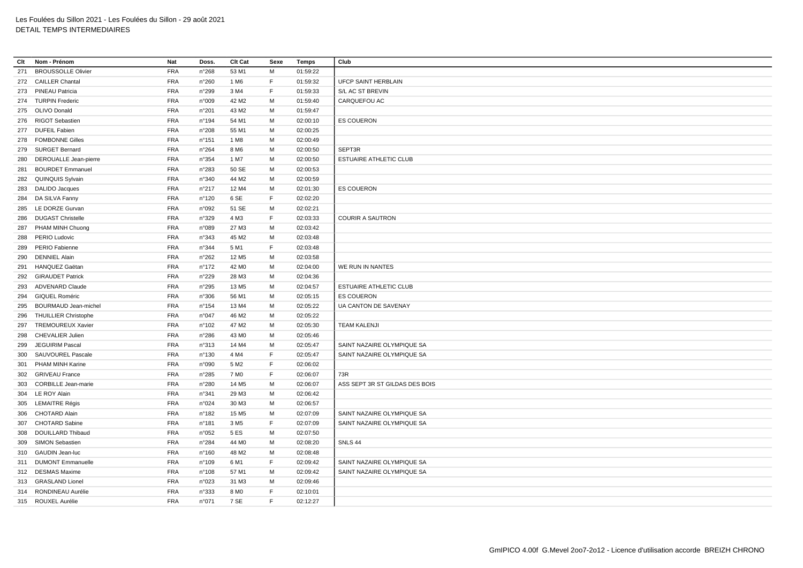| Clt | Nom - Prénom                 | Nat        | Doss.           | Clt Cat           | Sexe | Temps    | Club                           |
|-----|------------------------------|------------|-----------------|-------------------|------|----------|--------------------------------|
| 271 | <b>BROUSSOLLE Olivier</b>    | <b>FRA</b> | n°268           | 53 M1             | M    | 01:59:22 |                                |
|     | 272 CAILLER Chantal          | <b>FRA</b> | n°260           | 1 M <sub>6</sub>  | F    | 01:59:32 | <b>UFCP SAINT HERBLAIN</b>     |
|     | 273 PINEAU Patricia          | <b>FRA</b> | n°299           | 3 M4              | F    | 01:59:33 | S/L AC ST BREVIN               |
|     | 274 TURPIN Frederic          | <b>FRA</b> | n°009           | 42 M2             | M    | 01:59:40 | CARQUEFOU AC                   |
|     | 275 OLIVO Donald             | <b>FRA</b> | n°201           | 43 M2             | M    | 01:59:47 |                                |
|     | 276 RIGOT Sebastien          | <b>FRA</b> | $n^{\circ}$ 194 | 54 M1             | M    | 02:00:10 | <b>ES COUERON</b>              |
|     | 277 DUFEIL Fabien            | <b>FRA</b> | n°208           | 55 M1             | M    | 02:00:25 |                                |
|     | 278 FOMBONNE Gilles          | <b>FRA</b> | n°151           | 1 M <sub>8</sub>  | M    | 02:00:49 |                                |
| 279 | <b>SURGET Bernard</b>        | <b>FRA</b> | $n^{\circ}264$  | 8 M6              | M    | 02:00:50 | SEPT3R                         |
| 280 | <b>DEROUALLE Jean-pierre</b> | <b>FRA</b> | n°354           | 1 M7              | M    | 02:00:50 | <b>ESTUAIRE ATHLETIC CLUB</b>  |
| 281 | <b>BOURDET Emmanuel</b>      | <b>FRA</b> | n°283           | 50 SE             | М    | 02:00:53 |                                |
|     | 282 QUINQUIS Sylvain         | <b>FRA</b> | n°340           | 44 M2             | M    | 02:00:59 |                                |
| 283 | DALIDO Jacques               | <b>FRA</b> | n°217           | 12 M4             | м    | 02:01:30 | <b>ES COUERON</b>              |
|     | 284 DA SILVA Fanny           | <b>FRA</b> | $n^{\circ}120$  | 6 SE              | F    | 02:02:20 |                                |
|     | 285 LE DORZE Gurvan          | <b>FRA</b> | n°092           | 51 SE             | м    | 02:02:21 |                                |
| 286 | <b>DUGAST Christelle</b>     | <b>FRA</b> | n°329           | 4 M3              | F    | 02:03:33 | <b>COURIR A SAUTRON</b>        |
|     | 287 PHAM MINH Chuong         | <b>FRA</b> | n°089           | 27 M3             | M    | 02:03:42 |                                |
| 288 | PERIO Ludovic                | <b>FRA</b> | n°343           | 45 M2             | м    | 02:03:48 |                                |
| 289 | PERIO Fabienne               | <b>FRA</b> | n°344           | 5 M1              | F    | 02:03:48 |                                |
| 290 | <b>DENNIEL Alain</b>         | <b>FRA</b> | n°262           | 12 M <sub>5</sub> | м    | 02:03:58 |                                |
| 291 | HANQUEZ Gaëtan               | <b>FRA</b> | $n^{\circ}$ 172 | 42 M <sub>0</sub> | м    | 02:04:00 | WE RUN IN NANTES               |
|     | 292 GIRAUDET Patrick         | <b>FRA</b> | n°229           | 28 M3             | M    | 02:04:36 |                                |
| 293 | <b>ADVENARD Claude</b>       | <b>FRA</b> | n°295           | 13 M <sub>5</sub> | м    | 02:04:57 | ESTUAIRE ATHLETIC CLUB         |
| 294 | <b>GIQUEL Roméric</b>        | <b>FRA</b> | n°306           | 56 M1             | М    | 02:05:15 | <b>ES COUERON</b>              |
|     | 295 BOURMAUD Jean-michel     | <b>FRA</b> | $n^{\circ}$ 154 | 13 M4             | м    | 02:05:22 | UA CANTON DE SAVENAY           |
| 296 | <b>THUILLIER Christophe</b>  | <b>FRA</b> | n°047           | 46 M2             | M    | 02:05:22 |                                |
| 297 | <b>TREMOUREUX Xavier</b>     | <b>FRA</b> | n°102           | 47 M2             | М    | 02:05:30 | <b>TEAM KALENJI</b>            |
| 298 | <b>CHEVALIER Julien</b>      | <b>FRA</b> | n°286           | 43 MO             | М    | 02:05:46 |                                |
| 299 | JEGUIRIM Pascal              | <b>FRA</b> | n°313           | 14 M4             | м    | 02:05:47 | SAINT NAZAIRE OLYMPIQUE SA     |
| 300 | SAUVOUREL Pascale            | <b>FRA</b> | $n^{\circ}$ 130 | 4 M4              | E    | 02:05:47 | SAINT NAZAIRE OLYMPIQUE SA     |
| 301 | PHAM MINH Karine             | <b>FRA</b> | n°090           | 5 M <sub>2</sub>  | F    | 02:06:02 |                                |
| 302 | <b>GRIVEAU France</b>        | <b>FRA</b> | n°285           | 7 M <sub>0</sub>  | E    | 02:06:07 | 73R                            |
| 303 | <b>CORBILLE Jean-marie</b>   | <b>FRA</b> | n°280           | 14 M <sub>5</sub> | М    | 02:06:07 | ASS SEPT 3R ST GILDAS DES BOIS |
|     | 304 LE ROY Alain             | <b>FRA</b> | n°341           | 29 M3             | M    | 02:06:42 |                                |
|     | 305 LEMAITRE Régis           | <b>FRA</b> | n°024           | 30 M3             | м    | 02:06:57 |                                |
| 306 | <b>CHOTARD Alain</b>         | <b>FRA</b> | $n^{\circ}$ 182 | 15 M <sub>5</sub> | M    | 02:07:09 | SAINT NAZAIRE OLYMPIQUE SA     |
|     | 307 CHOTARD Sabine           | <b>FRA</b> | $n^{\circ}$ 181 | 3 M <sub>5</sub>  | F    | 02:07:09 | SAINT NAZAIRE OLYMPIQUE SA     |
| 308 | DOUILLARD Thibaud            | <b>FRA</b> | n°052           | 5 ES              | M    | 02:07:50 |                                |
| 309 | <b>SIMON Sebastien</b>       | <b>FRA</b> | n°284           | 44 M <sub>0</sub> | M    | 02:08:20 | SNLS 44                        |
| 310 | <b>GAUDIN Jean-luc</b>       | <b>FRA</b> | $n^{\circ}160$  | 48 M2             | M    | 02:08:48 |                                |
|     | 311 DUMONT Emmanuelle        | <b>FRA</b> | n°109           | 6 M1              | F    | 02:09:42 | SAINT NAZAIRE OLYMPIQUE SA     |
|     | 312 DESMAS Maxime            | <b>FRA</b> | n°108           | 57 M1             | M    | 02:09:42 | SAINT NAZAIRE OLYMPIQUE SA     |
|     | 313 GRASLAND Lionel          | <b>FRA</b> | n°023           | 31 M3             | м    | 02:09:46 |                                |
|     | 314 RONDINEAU Aurélie        | <b>FRA</b> | n°333           | 8 MO              | E    | 02:10:01 |                                |
|     | 315 ROUXEL Aurélie           | <b>FRA</b> | n°071           | 7 SE              | F    | 02:12:27 |                                |